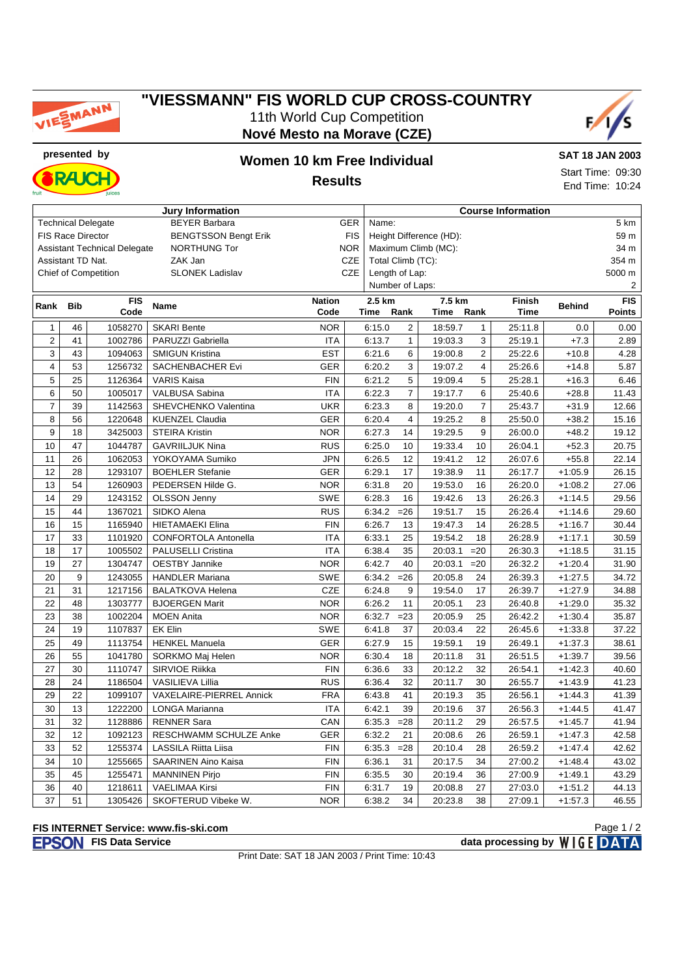

#### **"VIESSMANN" FIS WORLD CUP CROSS-COUNTRY** 11th World Cup Competition **Nové Mesto na Morave (CZE)**



**RAJC** 

## **presented by Women 10 km Free Individual Results**

**SAT 18 JAN 2003** Start Time: 09:30 End Time: 10:24

| <b>Jury Information</b><br><b>Course Information</b>                  |                                                          |                                     |                             |            |            |                                             |                                                                  |                         |                |         |           |                |  |  |
|-----------------------------------------------------------------------|----------------------------------------------------------|-------------------------------------|-----------------------------|------------|------------|---------------------------------------------|------------------------------------------------------------------|-------------------------|----------------|---------|-----------|----------------|--|--|
| <b>BEYER Barbara</b><br>GER<br><b>Technical Delegate</b>              |                                                          |                                     |                             |            |            | Name:                                       |                                                                  |                         |                |         |           | 5 km           |  |  |
| <b>BENGTSSON Bengt Erik</b><br><b>FIS</b><br><b>FIS Race Director</b> |                                                          |                                     |                             |            |            |                                             |                                                                  | Height Difference (HD): |                |         |           | 59 m           |  |  |
|                                                                       |                                                          | <b>Assistant Technical Delegate</b> | <b>NORTHUNG Tor</b>         |            | <b>NOR</b> | Maximum Climb (MC):<br>34 m                 |                                                                  |                         |                |         |           |                |  |  |
| ZAK Jan<br>Assistant TD Nat.                                          |                                                          |                                     |                             |            | CZE        | Total Climb (TC):                           |                                                                  |                         |                |         |           | 354 m          |  |  |
| <b>SLONEK Ladislav</b><br><b>Chief of Competition</b>                 |                                                          |                                     |                             |            | CZE        | Length of Lap:<br>5000 m                    |                                                                  |                         |                |         |           |                |  |  |
|                                                                       |                                                          |                                     |                             |            |            | Number of Laps:                             |                                                                  |                         |                |         |           | $\overline{2}$ |  |  |
| Rank                                                                  | <b>FIS</b><br><b>Nation</b><br><b>Bib</b><br><b>Name</b> |                                     |                             |            |            |                                             | <b>FIS</b><br>2.5 km<br>7.5 km<br><b>Finish</b><br><b>Behind</b> |                         |                |         |           |                |  |  |
|                                                                       |                                                          | Code                                |                             | Code       |            | Rank<br>Rank<br><b>Time</b><br>Time<br>Time |                                                                  |                         |                |         |           | <b>Points</b>  |  |  |
| $\mathbf{1}$                                                          | 46                                                       | 1058270                             | <b>SKARI Bente</b>          | <b>NOR</b> |            | 6:15.0                                      | $\overline{2}$                                                   | 18:59.7                 | $\mathbf{1}$   | 25:11.8 | 0.0       | 0.00           |  |  |
| $\overline{2}$                                                        | 41                                                       | 1002786                             | PARUZZI Gabriella           | <b>ITA</b> |            | 6:13.7                                      | $\mathbf{1}$                                                     | 19:03.3                 | 3              | 25:19.1 | $+7.3$    | 2.89           |  |  |
| 3                                                                     | 43                                                       | 1094063                             | <b>SMIGUN Kristina</b>      | <b>EST</b> |            | 6:21.6                                      | 6                                                                | 19:00.8                 | $\overline{2}$ | 25:22.6 | $+10.8$   | 4.28           |  |  |
| $\overline{\mathbf{4}}$                                               | 53                                                       | 1256732                             | SACHENBACHER Evi            | <b>GER</b> |            | 6:20.2                                      | 3                                                                | 19:07.2                 | $\overline{4}$ | 25:26.6 | $+14.8$   | 5.87           |  |  |
| 5                                                                     | 25                                                       | 1126364                             | <b>VARIS Kaisa</b>          | <b>FIN</b> |            | 6:21.2                                      | 5                                                                | 19:09.4                 | 5              | 25:28.1 | $+16.3$   | 6.46           |  |  |
| 6                                                                     | 50                                                       | 1005017                             | VALBUSA Sabina              | <b>ITA</b> |            | 6:22.3                                      | $\overline{7}$                                                   | 19:17.7                 | 6              | 25:40.6 | $+28.8$   | 11.43          |  |  |
| $\overline{7}$                                                        | 39                                                       | 1142563                             | SHEVCHENKO Valentina        | <b>UKR</b> |            | 6:23.3                                      | 8                                                                | 19:20.0                 | $\overline{7}$ | 25:43.7 | $+31.9$   | 12.66          |  |  |
| 8                                                                     | 56                                                       | 1220648                             | <b>KUENZEL Claudia</b>      | <b>GER</b> |            | 6:20.4                                      | $\overline{4}$                                                   | 19:25.2                 | 8              | 25:50.0 | $+38.2$   | 15.16          |  |  |
| 9                                                                     | 18                                                       | 3425003                             | <b>STEIRA Kristin</b>       | <b>NOR</b> |            | 6:27.3                                      | 14                                                               | 19:29.5                 | 9              | 26:00.0 | $+48.2$   | 19.12          |  |  |
| 10                                                                    | 47                                                       | 1044787                             | <b>GAVRIILJUK Nina</b>      | <b>RUS</b> |            | 6:25.0                                      | 10                                                               | 19:33.4                 | 10             | 26:04.1 | $+52.3$   | 20.75          |  |  |
| 11                                                                    | 26                                                       | 1062053                             | YOKOYAMA Sumiko             | <b>JPN</b> |            | 6:26.5                                      | 12                                                               | 19:41.2                 | 12             | 26:07.6 | $+55.8$   | 22.14          |  |  |
| 12                                                                    | 28                                                       | 1293107                             | <b>BOEHLER Stefanie</b>     | GER        |            | 6:29.1                                      | 17                                                               | 19:38.9                 | 11             | 26:17.7 | $+1:05.9$ | 26.15          |  |  |
| 13                                                                    | 54                                                       | 1260903                             | PEDERSEN Hilde G.           | <b>NOR</b> |            | 6:31.8                                      | 20                                                               | 19:53.0                 | 16             | 26:20.0 | $+1:08.2$ | 27.06          |  |  |
| 14                                                                    | 29                                                       | 1243152                             | <b>OLSSON Jenny</b>         | <b>SWE</b> |            | 6:28.3                                      | 16                                                               | 19:42.6                 | 13             | 26:26.3 | $+1:14.5$ | 29.56          |  |  |
| 15                                                                    | 44                                                       | 1367021                             | SIDKO Alena                 | <b>RUS</b> |            | 6:34.2                                      | $=26$                                                            | 19:51.7                 | 15             | 26:26.4 | $+1:14.6$ | 29.60          |  |  |
| 16                                                                    | 15                                                       | 1165940                             | <b>HIETAMAEKI Elina</b>     | <b>FIN</b> |            | 6:26.7                                      | 13                                                               | 19:47.3                 | 14             | 26:28.5 | $+1:16.7$ | 30.44          |  |  |
| 17                                                                    | 33                                                       | 1101920                             | <b>CONFORTOLA Antonella</b> | <b>ITA</b> |            | 6:33.1                                      | 25                                                               | 19:54.2                 | 18             | 26:28.9 | $+1:17.1$ | 30.59          |  |  |
| 18                                                                    | 17                                                       | 1005502                             | <b>PALUSELLI Cristina</b>   | <b>ITA</b> |            | 6:38.4                                      | 35                                                               | 20:03.1                 | $=20$          | 26:30.3 | $+1:18.5$ | 31.15          |  |  |
| 19                                                                    | 27                                                       | 1304747                             | <b>OESTBY Jannike</b>       | <b>NOR</b> |            | 6:42.7                                      | 40                                                               | 20:03.1                 | $=20$          | 26:32.2 | $+1:20.4$ | 31.90          |  |  |
| 20                                                                    | 9                                                        | 1243055                             | <b>HANDLER Mariana</b>      | <b>SWE</b> |            | 6:34.2                                      | $=26$                                                            | 20:05.8                 | 24             | 26:39.3 | $+1:27.5$ | 34.72          |  |  |
| 21                                                                    | 31                                                       | 1217156                             | <b>BALATKOVA Helena</b>     | <b>CZE</b> |            | 6:24.8                                      | 9                                                                | 19:54.0                 | 17             | 26:39.7 | $+1:27.9$ | 34.88          |  |  |
| 22                                                                    | 48                                                       | 1303777                             | <b>BJOERGEN Marit</b>       | <b>NOR</b> |            | 6:26.2                                      | 11                                                               | 20:05.1                 | 23             | 26:40.8 | $+1:29.0$ | 35.32          |  |  |
| 23                                                                    | 38                                                       | 1002204                             | <b>MOEN Anita</b>           | <b>NOR</b> |            | 6:32.7                                      | $= 23$                                                           | 20:05.9                 | 25             | 26:42.2 | $+1:30.4$ | 35.87          |  |  |
| 24                                                                    | 19                                                       | 1107837                             | EK Elin                     | <b>SWE</b> |            | 6:41.8                                      | 37                                                               | 20:03.4                 | 22             | 26:45.6 | $+1:33.8$ | 37.22          |  |  |
| 25                                                                    | 49                                                       | 1113754                             | <b>HENKEL Manuela</b>       | <b>GER</b> |            | 6:27.9                                      | 15                                                               | 19:59.1                 | 19             | 26:49.1 | $+1:37.3$ | 38.61          |  |  |
| 26                                                                    | 55                                                       | 1041780                             | SORKMO Maj Helen            | <b>NOR</b> |            | 6:30.4                                      | 18                                                               | 20:11.8                 | 31             | 26:51.5 | $+1:39.7$ | 39.56          |  |  |
| 27                                                                    | 30                                                       | 1110747                             | SIRVIOE Riikka              | <b>FIN</b> |            | 6:36.6                                      | 33                                                               | 20:12.2                 | 32             | 26:54.1 | $+1:42.3$ | 40.60          |  |  |
| 28                                                                    | 24                                                       | 1186504                             | <b>VASILIEVA Lillia</b>     | <b>RUS</b> |            | 6:36.4                                      | 32                                                               | 20:11.7                 | 30             | 26:55.7 | $+1:43.9$ | 41.23          |  |  |
| 29                                                                    | 22                                                       | 1099107                             | VAXELAIRE-PIERREL Annick    | <b>FRA</b> |            | 6:43.8                                      | 41                                                               | 20:19.3                 | 35             | 26:56.1 | $+1:44.3$ | 41.39          |  |  |
| 30                                                                    | 13                                                       | 1222200                             | LONGA Marianna              | <b>ITA</b> |            | 6:42.1                                      | 39                                                               | 20:19.6                 | 37             | 26:56.3 | $+1:44.5$ | 41.47          |  |  |
| 31                                                                    | 32                                                       | 1128886                             | <b>RENNER Sara</b>          | CAN        |            | 6:35.3                                      | $= 28$                                                           | 20:11.2                 | 29             | 26:57.5 | $+1:45.7$ | 41.94          |  |  |
| 32                                                                    | 12                                                       | 1092123                             | RESCHWAMM SCHULZE Anke      | GER        |            | 6:32.2                                      | 21                                                               | 20:08.6                 | 26             | 26:59.1 | $+1:47.3$ | 42.58          |  |  |
| 33                                                                    | 52                                                       | 1255374                             | LASSILA Riitta Liisa        | <b>FIN</b> |            | 6:35.3                                      | $=28$                                                            | 20:10.4                 | 28             | 26:59.2 | $+1:47.4$ | 42.62          |  |  |
| 34                                                                    | 10                                                       | 1255665                             | <b>SAARINEN Aino Kaisa</b>  | <b>FIN</b> |            | 6:36.1                                      | 31                                                               | 20:17.5                 | 34             | 27:00.2 | $+1:48.4$ | 43.02          |  |  |
| 35                                                                    | 45                                                       | 1255471                             | <b>MANNINEN Pirjo</b>       | <b>FIN</b> |            | 6:35.5                                      | 30                                                               | 20:19.4                 | 36             | 27:00.9 | $+1:49.1$ | 43.29          |  |  |
| 36                                                                    | 40                                                       | 1218611                             | <b>VAELIMAA Kirsi</b>       | <b>FIN</b> |            | 6:31.7                                      | 19                                                               | 20:08.8                 | 27             | 27:03.0 | $+1:51.2$ | 44.13          |  |  |
| 37                                                                    | 51                                                       | 1305426                             | SKOFTERUD Vibeke W.         | <b>NOR</b> |            | 6:38.2                                      | 34                                                               | 20:23.8                 | 38             | 27:09.1 | $+1:57.3$ | 46.55          |  |  |

#### **FIS INTERNET Service: www.fis-ski.com**

**FIS Data Service data processing by**  $W \mid G E$  **DATA** Page 1 / 2

Print Date: SAT 18 JAN 2003 / Print Time: 10:43